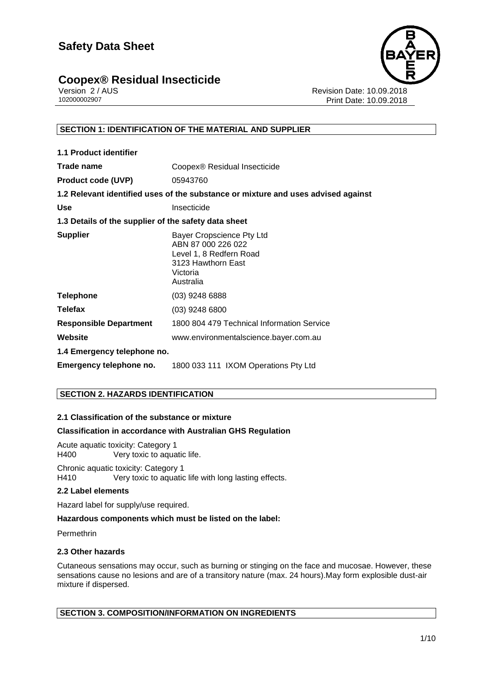## **Coopex® Residual Insecticide 1/10**



Version 2 / AUS<br>10200002907<br>Print Date: 10.09.2018 Print Date: 10.09.2018

#### **SECTION 1: IDENTIFICATION OF THE MATERIAL AND SUPPLIER**

| <b>1.1 Product identifier</b>                        |                                                                                                                           |
|------------------------------------------------------|---------------------------------------------------------------------------------------------------------------------------|
| Trade name                                           | Coopex <sup>®</sup> Residual Insecticide                                                                                  |
| <b>Product code (UVP)</b>                            | 05943760                                                                                                                  |
|                                                      | 1.2 Relevant identified uses of the substance or mixture and uses advised against                                         |
| <b>Use</b>                                           | Insecticide                                                                                                               |
| 1.3 Details of the supplier of the safety data sheet |                                                                                                                           |
| <b>Supplier</b>                                      | Bayer Cropscience Pty Ltd<br>ABN 87 000 226 022<br>Level 1, 8 Redfern Road<br>3123 Hawthorn East<br>Victoria<br>Australia |
| <b>Telephone</b>                                     | (03) 9248 6888                                                                                                            |
| <b>Telefax</b>                                       | $(03)$ 9248 6800                                                                                                          |
| <b>Responsible Department</b>                        | 1800 804 479 Technical Information Service                                                                                |
| Website                                              | www.environmentalscience.bayer.com.au                                                                                     |
| 1.4 Emergency telephone no.                          |                                                                                                                           |
| Emergency telephone no.                              | 1800 033 111 IXOM Operations Pty Ltd                                                                                      |

#### **SECTION 2. HAZARDS IDENTIFICATION**

#### **2.1 Classification of the substance or mixture**

#### **Classification in accordance with Australian GHS Regulation**

Acute aquatic toxicity: Category 1 H400 Very toxic to aquatic life.

Chronic aquatic toxicity: Category 1 H410 Very toxic to aquatic life with long lasting effects.

#### **2.2 Label elements**

Hazard label for supply/use required.

#### **Hazardous components which must be listed on the label:**

Permethrin

#### **2.3 Other hazards**

Cutaneous sensations may occur, such as burning or stinging on the face and mucosae. However, these sensations cause no lesions and are of a transitory nature (max. 24 hours).May form explosible dust-air mixture if dispersed.

#### **SECTION 3. COMPOSITION/INFORMATION ON INGREDIENTS**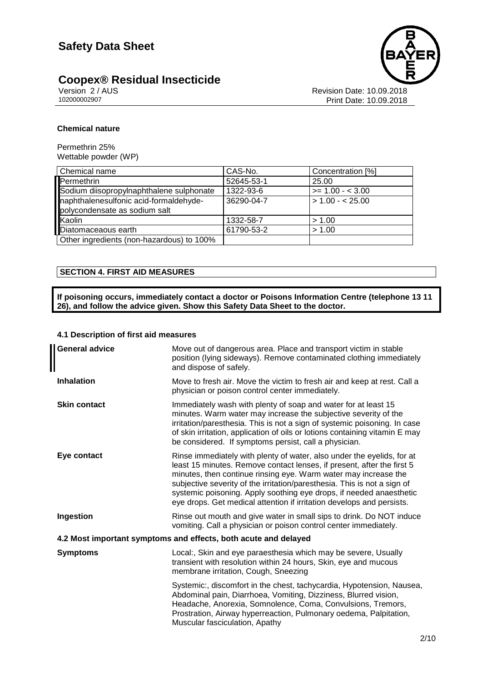# **Coopex® Residual Insecticide**<br>Version 2/AUS



Version 2 / AUS<br>
10200002907<br>
Print Date: 10.09.2018 Print Date: 10.09.2018

#### **Chemical nature**

Permethrin 25% Wettable powder (WP)

| Chemical name                                                           | CAS-No.    | Concentration [%]  |
|-------------------------------------------------------------------------|------------|--------------------|
| Permethrin                                                              | 52645-53-1 | 25.00              |
| Sodium diisopropylnaphthalene sulphonate                                | 1322-93-6  | $>= 1.00 - < 3.00$ |
| naphthalenesulfonic acid-formaldehyde-<br>polycondensate as sodium salt | 36290-04-7 | $> 1.00 - 25.00$   |
| Kaolin                                                                  | 1332-58-7  | > 1.00             |
| Diatomaceaous earth                                                     | 61790-53-2 | > 1.00             |
| Other ingredients (non-hazardous) to 100%                               |            |                    |

#### **SECTION 4. FIRST AID MEASURES**

**If poisoning occurs, immediately contact a doctor or Poisons Information Centre (telephone 13 11 26), and follow the advice given. Show this Safety Data Sheet to the doctor.**

#### **4.1 Description of first aid measures**

| <b>General advice</b>                                           | Move out of dangerous area. Place and transport victim in stable<br>position (lying sideways). Remove contaminated clothing immediately<br>and dispose of safely.                                                                                                                                                                                                                                                                               |  |
|-----------------------------------------------------------------|-------------------------------------------------------------------------------------------------------------------------------------------------------------------------------------------------------------------------------------------------------------------------------------------------------------------------------------------------------------------------------------------------------------------------------------------------|--|
| <b>Inhalation</b>                                               | Move to fresh air. Move the victim to fresh air and keep at rest. Call a<br>physician or poison control center immediately.                                                                                                                                                                                                                                                                                                                     |  |
| <b>Skin contact</b>                                             | Immediately wash with plenty of soap and water for at least 15<br>minutes. Warm water may increase the subjective severity of the<br>irritation/paresthesia. This is not a sign of systemic poisoning. In case<br>of skin irritation, application of oils or lotions containing vitamin E may<br>be considered. If symptoms persist, call a physician.                                                                                          |  |
| Eye contact                                                     | Rinse immediately with plenty of water, also under the eyelids, for at<br>least 15 minutes. Remove contact lenses, if present, after the first 5<br>minutes, then continue rinsing eye. Warm water may increase the<br>subjective severity of the irritation/paresthesia. This is not a sign of<br>systemic poisoning. Apply soothing eye drops, if needed anaesthetic<br>eye drops. Get medical attention if irritation develops and persists. |  |
| Ingestion                                                       | Rinse out mouth and give water in small sips to drink. Do NOT induce<br>vomiting. Call a physician or poison control center immediately.                                                                                                                                                                                                                                                                                                        |  |
| 4.2 Most important symptoms and effects, both acute and delayed |                                                                                                                                                                                                                                                                                                                                                                                                                                                 |  |
| <b>Symptoms</b>                                                 | Local:, Skin and eye paraesthesia which may be severe, Usually<br>transient with resolution within 24 hours, Skin, eye and mucous<br>membrane irritation, Cough, Sneezing                                                                                                                                                                                                                                                                       |  |
|                                                                 | Systemic:, discomfort in the chest, tachycardia, Hypotension, Nausea,<br>Abdominal pain, Diarrhoea, Vomiting, Dizziness, Blurred vision,<br>Headache, Anorexia, Somnolence, Coma, Convulsions, Tremors,<br>Prostration, Airway hyperreaction, Pulmonary oedema, Palpitation,<br>Muscular fasciculation, Apathy                                                                                                                                  |  |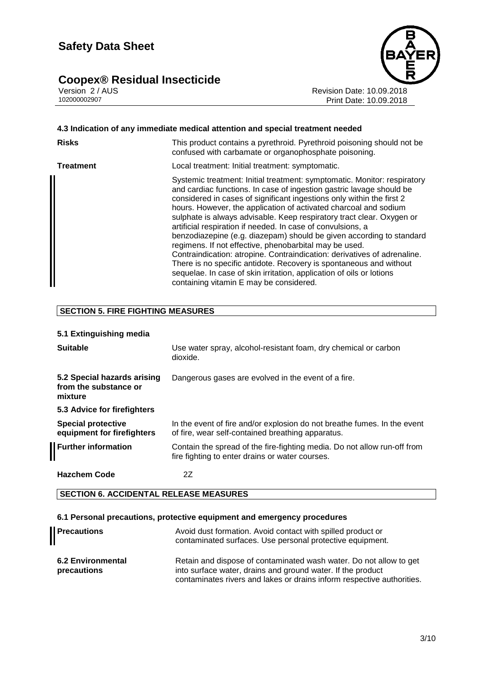# Coopex® Residual Insecticide<br>Version 2/AUS<br>102000002907



Revision Date: 10.09.2018 Print Date: 10.09.2018

| 4.3 Indication of any immediate medical attention and special treatment needed |                                                                                                                                                                                                                                                                                                                                                                                                                                                                                                                                                                                                                                                                                                                                                                                                                                              |  |
|--------------------------------------------------------------------------------|----------------------------------------------------------------------------------------------------------------------------------------------------------------------------------------------------------------------------------------------------------------------------------------------------------------------------------------------------------------------------------------------------------------------------------------------------------------------------------------------------------------------------------------------------------------------------------------------------------------------------------------------------------------------------------------------------------------------------------------------------------------------------------------------------------------------------------------------|--|
| <b>Risks</b>                                                                   | This product contains a pyrethroid. Pyrethroid poisoning should not be<br>confused with carbamate or organophosphate poisoning.                                                                                                                                                                                                                                                                                                                                                                                                                                                                                                                                                                                                                                                                                                              |  |
| Treatment                                                                      | Local treatment: Initial treatment: symptomatic.                                                                                                                                                                                                                                                                                                                                                                                                                                                                                                                                                                                                                                                                                                                                                                                             |  |
|                                                                                | Systemic treatment: Initial treatment: symptomatic. Monitor: respiratory<br>and cardiac functions. In case of ingestion gastric lavage should be<br>considered in cases of significant ingestions only within the first 2<br>hours. However, the application of activated charcoal and sodium<br>sulphate is always advisable. Keep respiratory tract clear. Oxygen or<br>artificial respiration if needed. In case of convulsions, a<br>benzodiazepine (e.g. diazepam) should be given according to standard<br>regimens. If not effective, phenobarbital may be used.<br>Contraindication: atropine. Contraindication: derivatives of adrenaline.<br>There is no specific antidote. Recovery is spontaneous and without<br>sequelae. In case of skin irritation, application of oils or lotions<br>containing vitamin E may be considered. |  |

#### **SECTION 5. FIRE FIGHTING MEASURES**

#### **5.1 Extinguishing media**

| <b>Suitable</b>                                                 | Use water spray, alcohol-resistant foam, dry chemical or carbon<br>dioxide.                                                   |
|-----------------------------------------------------------------|-------------------------------------------------------------------------------------------------------------------------------|
| 5.2 Special hazards arising<br>from the substance or<br>mixture | Dangerous gases are evolved in the event of a fire.                                                                           |
| 5.3 Advice for firefighters                                     |                                                                                                                               |
| <b>Special protective</b><br>equipment for firefighters         | In the event of fire and/or explosion do not breathe fumes. In the event<br>of fire, wear self-contained breathing apparatus. |
| <b>Further information</b>                                      | Contain the spread of the fire-fighting media. Do not allow run-off from<br>fire fighting to enter drains or water courses.   |
| <b>Hazchem Code</b>                                             | 2Ζ                                                                                                                            |

#### **SECTION 6. ACCIDENTAL RELEASE MEASURES**

#### **6.1 Personal precautions, protective equipment and emergency procedures**

| <b>Precautions</b>                      | Avoid dust formation. Avoid contact with spilled product or<br>contaminated surfaces. Use personal protective equipment.                                                                                    |
|-----------------------------------------|-------------------------------------------------------------------------------------------------------------------------------------------------------------------------------------------------------------|
| <b>6.2 Environmental</b><br>precautions | Retain and dispose of contaminated wash water. Do not allow to get<br>into surface water, drains and ground water. If the product<br>contaminates rivers and lakes or drains inform respective authorities. |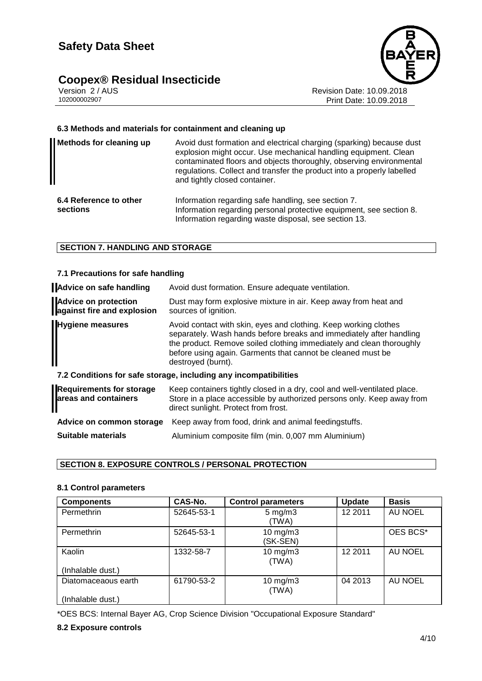# **Coopex® Residual Insecticide**<br>Version 2/AUS



Version 2 / AUS<br>10200002907<br>Print Date: 10.09.2018<br>Print Date: 10.09.2018 Print Date: 10.09.2018

#### **6.3 Methods and materials for containment and cleaning up**

| <b>Methods for cleaning up</b>     | Avoid dust formation and electrical charging (sparking) because dust<br>explosion might occur. Use mechanical handling equipment. Clean<br>contaminated floors and objects thoroughly, observing environmental<br>regulations. Collect and transfer the product into a properly labelled<br>and tightly closed container. |
|------------------------------------|---------------------------------------------------------------------------------------------------------------------------------------------------------------------------------------------------------------------------------------------------------------------------------------------------------------------------|
| 6.4 Reference to other<br>sections | Information regarding safe handling, see section 7.<br>Information regarding personal protective equipment, see section 8.<br>Information regarding waste disposal, see section 13.                                                                                                                                       |

#### **SECTION 7. HANDLING AND STORAGE**

#### **7.1 Precautions for safe handling**

| <b>Advice on safe handling</b>                            | Avoid dust formation. Ensure adequate ventilation.                                                                                                                                                                                                                                                   |
|-----------------------------------------------------------|------------------------------------------------------------------------------------------------------------------------------------------------------------------------------------------------------------------------------------------------------------------------------------------------------|
| <b>Advice on protection</b><br>against fire and explosion | Dust may form explosive mixture in air. Keep away from heat and<br>sources of ignition.                                                                                                                                                                                                              |
| <b>Hygiene measures</b>                                   | Avoid contact with skin, eyes and clothing. Keep working clothes<br>separately. Wash hands before breaks and immediately after handling<br>the product. Remove soiled clothing immediately and clean thoroughly<br>before using again. Garments that cannot be cleaned must be<br>destroyed (burnt). |
|                                                           | 7.2 Conditions for safe storage, including any incompatibilities                                                                                                                                                                                                                                     |
| <b>Requirements for storage</b><br>areas and containers   | Keep containers tightly closed in a dry, cool and well-ventilated place.<br>Store in a place accessible by authorized persons only. Keep away from<br>direct sunlight. Protect from frost.                                                                                                           |
| Advice on common storage                                  | Keep away from food, drink and animal feedingstuffs.                                                                                                                                                                                                                                                 |

**Suitable materials** Aluminium composite film (min. 0,007 mm Aluminium)

#### **SECTION 8. EXPOSURE CONTROLS / PERSONAL PROTECTION**

#### **8.1 Control parameters**

| <b>Components</b>   | CAS-No.    | <b>Control parameters</b>   | <b>Update</b> | <b>Basis</b> |
|---------------------|------------|-----------------------------|---------------|--------------|
| Permethrin          | 52645-53-1 | $5 \text{ mg/m}$ 3<br>(TWA) | 12 2011       | AU NOEL      |
| Permethrin          | 52645-53-1 | $10$ mg/m $3$<br>(SK-SEN)   |               | OES BCS*     |
| Kaolin              | 1332-58-7  | $10$ mg/m $3$<br>(TWA)      | 12 2011       | AU NOEL      |
| (Inhalable dust.)   |            |                             |               |              |
| Diatomaceaous earth | 61790-53-2 | $10$ mg/m $3$<br>(TWA)      | 04 2013       | AU NOEL      |
| (Inhalable dust.)   |            |                             |               |              |

\*OES BCS: Internal Bayer AG, Crop Science Division "Occupational Exposure Standard"

#### **8.2 Exposure controls**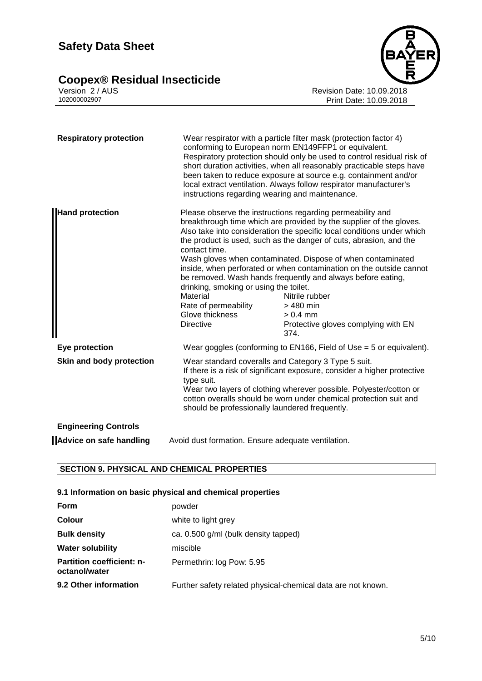# **Safety Data Sheet**

## **Coopex® Residual Insecticide 5/10**



Version 2 / AUS Revision Date: 10.09.2018 102000002907 Print Date: 10.09.2018

| <b>Respiratory protection</b> | Wear respirator with a particle filter mask (protection factor 4)<br>conforming to European norm EN149FFP1 or equivalent.<br>Respiratory protection should only be used to control residual risk of<br>short duration activities, when all reasonably practicable steps have<br>been taken to reduce exposure at source e.g. containment and/or<br>local extract ventilation. Always follow respirator manufacturer's<br>instructions regarding wearing and maintenance. |                                                                                                                                                                                                                                                                                                                                                                                                                                                                                                                                                                                     |
|-------------------------------|--------------------------------------------------------------------------------------------------------------------------------------------------------------------------------------------------------------------------------------------------------------------------------------------------------------------------------------------------------------------------------------------------------------------------------------------------------------------------|-------------------------------------------------------------------------------------------------------------------------------------------------------------------------------------------------------------------------------------------------------------------------------------------------------------------------------------------------------------------------------------------------------------------------------------------------------------------------------------------------------------------------------------------------------------------------------------|
| <b>Hand protection</b>        | contact time.<br>drinking, smoking or using the toilet.<br>Material<br>Rate of permeability<br>Glove thickness<br><b>Directive</b>                                                                                                                                                                                                                                                                                                                                       | Please observe the instructions regarding permeability and<br>breakthrough time which are provided by the supplier of the gloves.<br>Also take into consideration the specific local conditions under which<br>the product is used, such as the danger of cuts, abrasion, and the<br>Wash gloves when contaminated. Dispose of when contaminated<br>inside, when perforated or when contamination on the outside cannot<br>be removed. Wash hands frequently and always before eating,<br>Nitrile rubber<br>$>480$ min<br>$> 0.4$ mm<br>Protective gloves complying with EN<br>374. |
| Eye protection                |                                                                                                                                                                                                                                                                                                                                                                                                                                                                          | Wear goggles (conforming to EN166, Field of Use $=$ 5 or equivalent).                                                                                                                                                                                                                                                                                                                                                                                                                                                                                                               |
| Skin and body protection      | Wear standard coveralls and Category 3 Type 5 suit.<br>If there is a risk of significant exposure, consider a higher protective<br>type suit.<br>Wear two layers of clothing wherever possible. Polyester/cotton or<br>cotton overalls should be worn under chemical protection suit and<br>should be professionally laundered frequently.                                                                                                                               |                                                                                                                                                                                                                                                                                                                                                                                                                                                                                                                                                                                     |
| <b>Engineering Controls</b>   |                                                                                                                                                                                                                                                                                                                                                                                                                                                                          |                                                                                                                                                                                                                                                                                                                                                                                                                                                                                                                                                                                     |

**Advice on safe handling** Avoid dust formation. Ensure adequate ventilation.

#### **SECTION 9. PHYSICAL AND CHEMICAL PROPERTIES**

#### **9.1 Information on basic physical and chemical properties**

| Form                                              | powder                                                       |
|---------------------------------------------------|--------------------------------------------------------------|
| <b>Colour</b>                                     | white to light grey                                          |
| <b>Bulk density</b>                               | ca. 0.500 g/ml (bulk density tapped)                         |
| <b>Water solubility</b>                           | miscible                                                     |
| <b>Partition coefficient: n-</b><br>octanol/water | Permethrin: log Pow: 5.95                                    |
| 9.2 Other information                             | Further safety related physical-chemical data are not known. |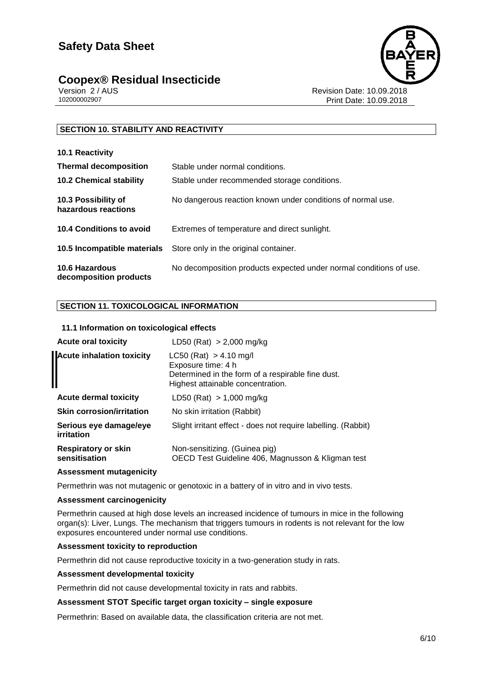### **Coopex® Residual Insecticide 6/10**



Version 2 / AUS<br>10200002907<br>Print Date: 10.09.2018 Print Date: 10.09.2018

#### **SECTION 10. STABILITY AND REACTIVITY**

| 10.1 Reactivity                            |                                                                    |
|--------------------------------------------|--------------------------------------------------------------------|
| <b>Thermal decomposition</b>               | Stable under normal conditions.                                    |
| <b>10.2 Chemical stability</b>             | Stable under recommended storage conditions.                       |
| 10.3 Possibility of<br>hazardous reactions | No dangerous reaction known under conditions of normal use.        |
| 10.4 Conditions to avoid                   | Extremes of temperature and direct sunlight.                       |
| 10.5 Incompatible materials                | Store only in the original container.                              |
| 10.6 Hazardous<br>decomposition products   | No decomposition products expected under normal conditions of use. |

#### **SECTION 11. TOXICOLOGICAL INFORMATION**

#### **11.1 Information on toxicological effects**

| <b>Acute oral toxicity</b>                  | LD50 (Rat) $> 2,000$ mg/kg                                                                                                                 |
|---------------------------------------------|--------------------------------------------------------------------------------------------------------------------------------------------|
| <b>Acute inhalation toxicity</b>            | $LC50$ (Rat) $> 4.10$ mg/l<br>Exposure time: 4 h<br>Determined in the form of a respirable fine dust.<br>Highest attainable concentration. |
| <b>Acute dermal toxicity</b>                | LD50 (Rat) $> 1,000$ mg/kg                                                                                                                 |
| <b>Skin corrosion/irritation</b>            | No skin irritation (Rabbit)                                                                                                                |
| Serious eye damage/eye<br>irritation        | Slight irritant effect - does not require labelling. (Rabbit)                                                                              |
| <b>Respiratory or skin</b><br>sensitisation | Non-sensitizing. (Guinea pig)<br>OECD Test Guideline 406, Magnusson & Kligman test                                                         |

#### **Assessment mutagenicity**

Permethrin was not mutagenic or genotoxic in a battery of in vitro and in vivo tests.

#### **Assessment carcinogenicity**

Permethrin caused at high dose levels an increased incidence of tumours in mice in the following organ(s): Liver, Lungs. The mechanism that triggers tumours in rodents is not relevant for the low exposures encountered under normal use conditions.

#### **Assessment toxicity to reproduction**

Permethrin did not cause reproductive toxicity in a two-generation study in rats.

#### **Assessment developmental toxicity**

Permethrin did not cause developmental toxicity in rats and rabbits.

#### **Assessment STOT Specific target organ toxicity – single exposure**

Permethrin: Based on available data, the classification criteria are not met.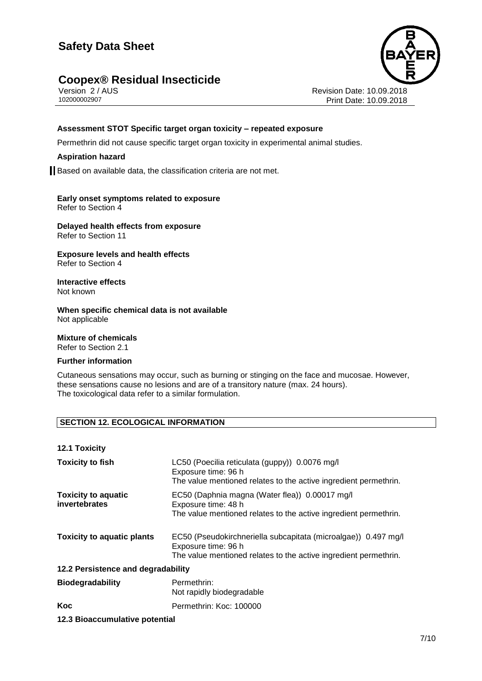# **Safety Data Sheet**

### **Coopex® Residual Insecticide 7/10**



Version 2 / AUS<br>10200002907<br>Print Date: 10.09.2018 Print Date: 10.09.2018

#### **Assessment STOT Specific target organ toxicity – repeated exposure**

Permethrin did not cause specific target organ toxicity in experimental animal studies.

#### **Aspiration hazard**

Based on available data, the classification criteria are not met.

#### **Early onset symptoms related to exposure** Refer to Section 4

**Delayed health effects from exposure** Refer to Section 11

#### **Exposure levels and health effects** Refer to Section 4

**Interactive effects** Not known

**When specific chemical data is not available** Not applicable

**Mixture of chemicals** Refer to Section 2.1

#### **Further information**

Cutaneous sensations may occur, such as burning or stinging on the face and mucosae. However, these sensations cause no lesions and are of a transitory nature (max. 24 hours). The toxicological data refer to a similar formulation.

#### **SECTION 12. ECOLOGICAL INFORMATION**

**12.1 Toxicity**

| <b>Toxicity to fish</b>                     | LC50 (Poecilia reticulata (guppy)) 0.0076 mg/l<br>Exposure time: 96 h<br>The value mentioned relates to the active ingredient permethrin.                 |  |
|---------------------------------------------|-----------------------------------------------------------------------------------------------------------------------------------------------------------|--|
| <b>Toxicity to aquatic</b><br>invertebrates | EC50 (Daphnia magna (Water flea)) 0.00017 mg/l<br>Exposure time: 48 h<br>The value mentioned relates to the active ingredient permethrin.                 |  |
| <b>Toxicity to aquatic plants</b>           | EC50 (Pseudokirchneriella subcapitata (microalgae)) 0.497 mg/l<br>Exposure time: 96 h<br>The value mentioned relates to the active ingredient permethrin. |  |
| 12.2 Persistence and degradability          |                                                                                                                                                           |  |
| <b>Biodegradability</b>                     | Permethrin:<br>Not rapidly biodegradable                                                                                                                  |  |
| Koc                                         | Permethrin: Koc: 100000                                                                                                                                   |  |

#### **12.3 Bioaccumulative potential**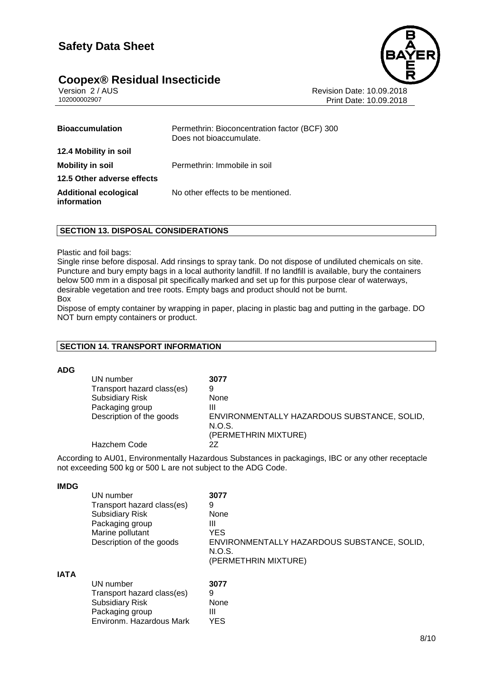# **Coopex® Residual Insecticide 8/10**



Version 2 / AUS<br>10200002907<br>Print Date: 10.09.2018 Print Date: 10.09.2018

| <b>Bioaccumulation</b>                      | Permethrin: Bioconcentration factor (BCF) 300<br>Does not bioaccumulate. |
|---------------------------------------------|--------------------------------------------------------------------------|
| 12.4 Mobility in soil                       |                                                                          |
| <b>Mobility in soil</b>                     | Permethrin: Immobile in soil                                             |
| 12.5 Other adverse effects                  |                                                                          |
| <b>Additional ecological</b><br>information | No other effects to be mentioned.                                        |

#### **SECTION 13. DISPOSAL CONSIDERATIONS**

#### Plastic and foil bags:

Single rinse before disposal. Add rinsings to spray tank. Do not dispose of undiluted chemicals on site. Puncture and bury empty bags in a local authority landfill. If no landfill is available, bury the containers below 500 mm in a disposal pit specifically marked and set up for this purpose clear of waterways, desirable vegetation and tree roots. Empty bags and product should not be burnt. Box

Dispose of empty container by wrapping in paper, placing in plastic bag and putting in the garbage. DO NOT burn empty containers or product.

#### **SECTION 14. TRANSPORT INFORMATION**

#### **ADG**

| UN number                  | 3077                                        |
|----------------------------|---------------------------------------------|
| Transport hazard class(es) | 9                                           |
| <b>Subsidiary Risk</b>     | None                                        |
| Packaging group            | Ш                                           |
| Description of the goods   | ENVIRONMENTALLY HAZARDOUS SUBSTANCE, SOLID, |
|                            | N.O.S.                                      |
|                            | (PERMETHRIN MIXTURE)                        |
| Hazchem Code               | 27                                          |

According to AU01, Environmentally Hazardous Substances in packagings, IBC or any other receptacle not exceeding 500 kg or 500 L are not subject to the ADG Code.

#### **IMDG**

|             | UN number                  | 3077                                                  |
|-------------|----------------------------|-------------------------------------------------------|
|             | Transport hazard class(es) | 9                                                     |
|             | <b>Subsidiary Risk</b>     | None                                                  |
|             | Packaging group            | Ш                                                     |
|             | Marine pollutant           | <b>YES</b>                                            |
|             | Description of the goods   | ENVIRONMENTALLY HAZARDOUS SUBSTANCE, SOLID,<br>N.O.S. |
|             |                            | (PERMETHRIN MIXTURE)                                  |
| <b>IATA</b> |                            |                                                       |
|             | UN number                  | 3077                                                  |
|             | Transport hazard class(es) | 9                                                     |
|             | <b>Subsidiary Risk</b>     | None                                                  |
|             | Packaging group            | Ш                                                     |
|             | Environm. Hazardous Mark   | <b>YES</b>                                            |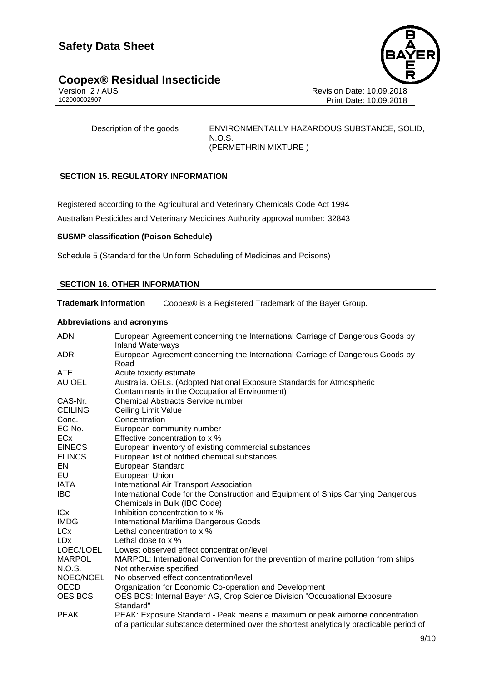# **Coopex® Residual Insecticide 9/10**



Version 2 / AUS<br>10200002907<br>Print Date: 10.09.2018<br>Print Date: 10.09.2018 Print Date: 10.09.2018

Description of the goods ENVIRONMENTALLY HAZARDOUS SUBSTANCE, SOLID, N.O.S. (PERMETHRIN MIXTURE )

#### **SECTION 15. REGULATORY INFORMATION**

Registered according to the Agricultural and Veterinary Chemicals Code Act 1994

Australian Pesticides and Veterinary Medicines Authority approval number: 32843

#### **SUSMP classification (Poison Schedule)**

Schedule 5 (Standard for the Uniform Scheduling of Medicines and Poisons)

#### **SECTION 16. OTHER INFORMATION**

**Trademark information** Coopex® is a Registered Trademark of the Bayer Group.

#### **Abbreviations and acronyms**

| <b>ADN</b>     | European Agreement concerning the International Carriage of Dangerous Goods by<br><b>Inland Waterways</b> |
|----------------|-----------------------------------------------------------------------------------------------------------|
| ADR.           | European Agreement concerning the International Carriage of Dangerous Goods by<br>Road                    |
| ATE            | Acute toxicity estimate                                                                                   |
| AU OEL         | Australia. OELs. (Adopted National Exposure Standards for Atmospheric                                     |
|                | Contaminants in the Occupational Environment)                                                             |
| CAS-Nr.        | <b>Chemical Abstracts Service number</b>                                                                  |
| <b>CEILING</b> | Ceiling Limit Value                                                                                       |
| Conc.          | Concentration                                                                                             |
| EC-No.         | European community number                                                                                 |
| ECx            | Effective concentration to x %                                                                            |
| <b>EINECS</b>  | European inventory of existing commercial substances                                                      |
| <b>ELINCS</b>  | European list of notified chemical substances                                                             |
| EN             | European Standard                                                                                         |
| EU             | <b>European Union</b>                                                                                     |
| <b>IATA</b>    | International Air Transport Association                                                                   |
| IBC.           | International Code for the Construction and Equipment of Ships Carrying Dangerous                         |
|                | Chemicals in Bulk (IBC Code)                                                                              |
| ICx            | Inhibition concentration to x %                                                                           |
| <b>IMDG</b>    | <b>International Maritime Dangerous Goods</b>                                                             |
| LCx            | Lethal concentration to x %                                                                               |
| LDx            | Lethal dose to $\times$ %                                                                                 |
| LOEC/LOEL      | Lowest observed effect concentration/level                                                                |
| <b>MARPOL</b>  | MARPOL: International Convention for the prevention of marine pollution from ships                        |
| N.O.S.         | Not otherwise specified                                                                                   |
| NOEC/NOEL      | No observed effect concentration/level                                                                    |
| OECD           | Organization for Economic Co-operation and Development                                                    |
| <b>OES BCS</b> | OES BCS: Internal Bayer AG, Crop Science Division "Occupational Exposure                                  |
|                | Standard"                                                                                                 |
| <b>PEAK</b>    | PEAK: Exposure Standard - Peak means a maximum or peak airborne concentration                             |
|                | of a particular substance determined over the shortest analytically practicable period of                 |